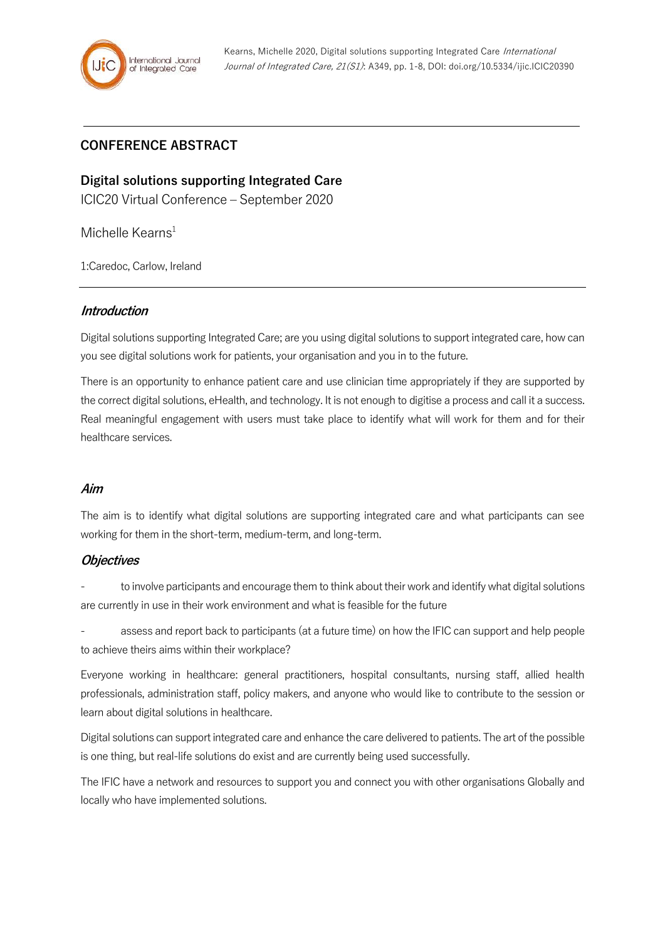# **CONFERENCE ABSTRACT**

**Digital solutions supporting Integrated Care** ICIC20 Virtual Conference – September 2020

Michelle Kearns $1$ 

1:Caredoc, Carlow, Ireland

# **Introduction**

Digital solutions supporting Integrated Care; are you using digital solutions to support integrated care, how can you see digital solutions work for patients, your organisation and you in to the future.

There is an opportunity to enhance patient care and use clinician time appropriately if they are supported by the correct digital solutions, eHealth, and technology. It is not enough to digitise a process and call it a success. Real meaningful engagement with users must take place to identify what will work for them and for their healthcare services.

### **Aim**

The aim is to identify what digital solutions are supporting integrated care and what participants can see working for them in the short-term, medium-term, and long-term.

### **Objectives**

to involve participants and encourage them to think about their work and identify what digital solutions are currently in use in their work environment and what is feasible for the future

- assess and report back to participants (at a future time) on how the IFIC can support and help people to achieve theirs aims within their workplace?

Everyone working in healthcare: general practitioners, hospital consultants, nursing staff, allied health professionals, administration staff, policy makers, and anyone who would like to contribute to the session or learn about digital solutions in healthcare.

Digital solutions can support integrated care and enhance the care delivered to patients. The art of the possible is one thing, but real-life solutions do exist and are currently being used successfully.

The IFIC have a network and resources to support you and connect you with other organisations Globally and locally who have implemented solutions.